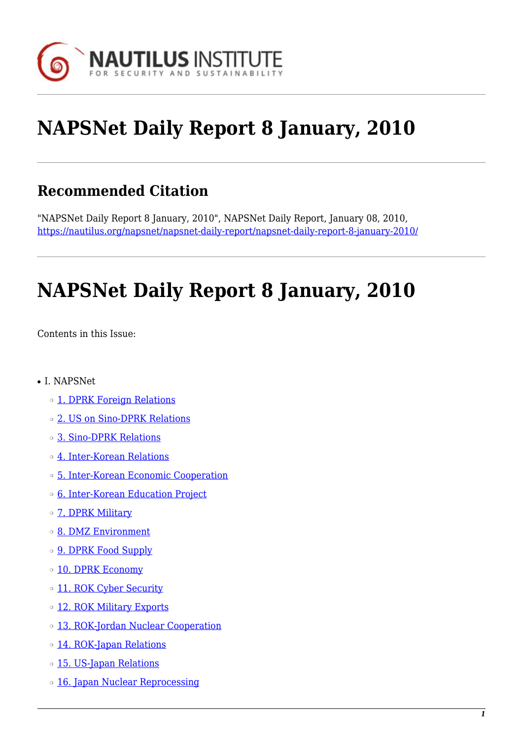

# **NAPSNet Daily Report 8 January, 2010**

## **Recommended Citation**

"NAPSNet Daily Report 8 January, 2010", NAPSNet Daily Report, January 08, 2010, <https://nautilus.org/napsnet/napsnet-daily-report/napsnet-daily-report-8-january-2010/>

# **NAPSNet Daily Report 8 January, 2010**

<span id="page-0-0"></span>Contents in this Issue:

- I. NAPSNet
	- ❍ [1. DPRK Foreign Relations](#page-1-0)
	- ❍ [2. US on Sino-DPRK Relations](#page-1-1)
	- ❍ [3. Sino-DPRK Relations](#page-1-2)
	- ❍ [4. Inter-Korean Relations](#page-2-0)
	- ❍ [5. Inter-Korean Economic Cooperation](#page-2-1)
	- o [6. Inter-Korean Education Project](#page-2-2)
	- o [7. DPRK Military](#page-3-0)
	- o [8. DMZ Environment](#page-3-1)
	- o **[9. DPRK Food Supply](#page-3-2)**
	- o [10. DPRK Economy](#page-4-0)
	- o [11. ROK Cyber Security](#page-4-1)
	- o [12. ROK Military Exports](#page-4-2)
	- o [13. ROK-Jordan Nuclear Cooperation](#page-4-3)
	- o [14. ROK-Japan Relations](#page-5-0)
	- o [15. US-Japan Relations](#page-5-1)
	- o [16. Japan Nuclear Reprocessing](#page-5-2)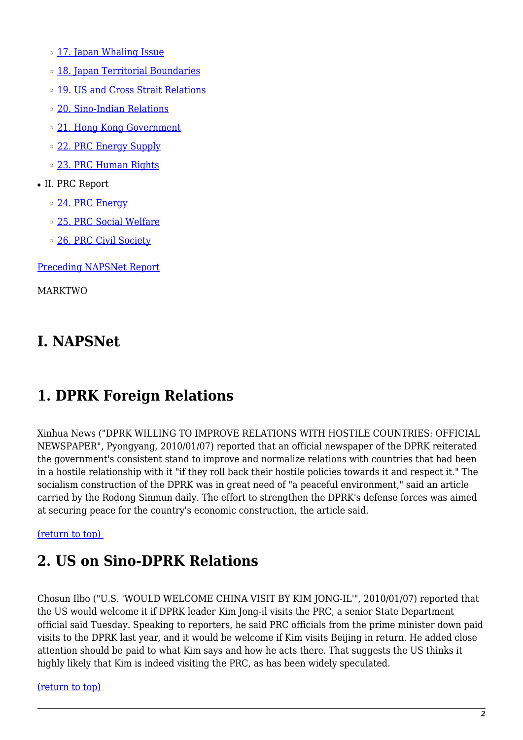- ❍ [17. Japan Whaling Issue](#page-5-3)
- o [18. Japan Territorial Boundaries](#page-6-0)
- o [19. US and Cross Strait Relations](#page-6-1)
- ❍ [20. Sino-Indian Relations](#page-7-0)
- o [21. Hong Kong Government](#page-7-1)
- ❍ [22. PRC Energy Supply](#page-7-2)
- ❍ [23. PRC Human Rights](#page-7-3)
- II. PRC Report
	- o [24. PRC Energy](#page-8-0)
	- ❍ [25. PRC Social Welfare](#page-8-1)
	- o [26. PRC Civil Society](#page-8-2)

[Preceding NAPSNet Report](https://nautilus.org/mailing-lists/napsnet/dr/2010-2/napsnet-daily-report-7-january-2010/)

MARKTWO

## **I. NAPSNet**

## <span id="page-1-0"></span>**1. DPRK Foreign Relations**

Xinhua News ("DPRK WILLING TO IMPROVE RELATIONS WITH HOSTILE COUNTRIES: OFFICIAL NEWSPAPER", Pyongyang, 2010/01/07) reported that an official newspaper of the DPRK reiterated the government's consistent stand to improve and normalize relations with countries that had been in a hostile relationship with it "if they roll back their hostile policies towards it and respect it." The socialism construction of the DPRK was in great need of "a peaceful environment," said an article carried by the Rodong Sinmun daily. The effort to strengthen the DPRK's defense forces was aimed at securing peace for the country's economic construction, the article said.

### <span id="page-1-1"></span>[\(return to top\)](#page-0-0)

## **2. US on Sino-DPRK Relations**

Chosun Ilbo ("U.S. 'WOULD WELCOME CHINA VISIT BY KIM JONG-IL'", 2010/01/07) reported that the US would welcome it if DPRK leader Kim Jong-il visits the PRC, a senior State Department official said Tuesday. Speaking to reporters, he said PRC officials from the prime minister down paid visits to the DPRK last year, and it would be welcome if Kim visits Beijing in return. He added close attention should be paid to what Kim says and how he acts there. That suggests the US thinks it highly likely that Kim is indeed visiting the PRC, as has been widely speculated.

#### <span id="page-1-2"></span>[\(return to top\)](#page-0-0)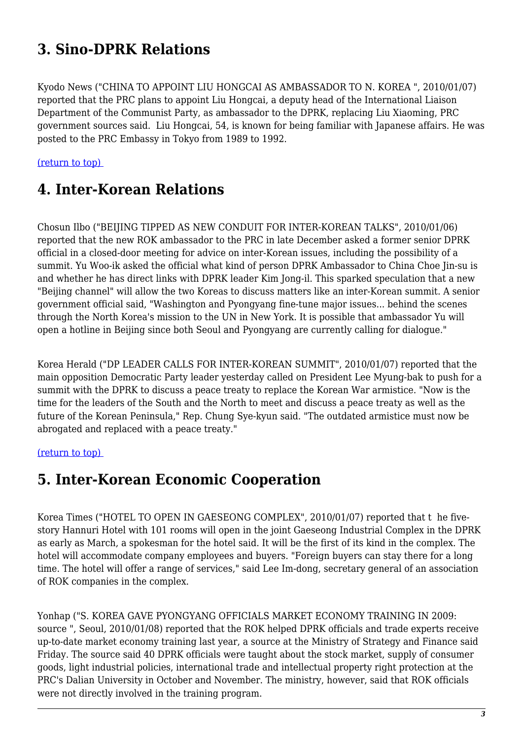## **3. Sino-DPRK Relations**

Kyodo News ("CHINA TO APPOINT LIU HONGCAI AS AMBASSADOR TO N. KOREA ", 2010/01/07) reported that the PRC plans to appoint Liu Hongcai, a deputy head of the International Liaison Department of the Communist Party, as ambassador to the DPRK, replacing Liu Xiaoming, PRC government sources said. Liu Hongcai, 54, is known for being familiar with Japanese affairs. He was posted to the PRC Embassy in Tokyo from 1989 to 1992.

<span id="page-2-0"></span>[\(return to top\)](#page-0-0) 

## **4. Inter-Korean Relations**

Chosun Ilbo ("BEIJING TIPPED AS NEW CONDUIT FOR INTER-KOREAN TALKS", 2010/01/06) reported that the new ROK ambassador to the PRC in late December asked a former senior DPRK official in a closed-door meeting for advice on inter-Korean issues, including the possibility of a summit. Yu Woo-ik asked the official what kind of person DPRK Ambassador to China Choe Jin-su is and whether he has direct links with DPRK leader Kim Jong-il. This sparked speculation that a new "Beijing channel" will allow the two Koreas to discuss matters like an inter-Korean summit. A senior government official said, "Washington and Pyongyang fine-tune major issues... behind the scenes through the North Korea's mission to the UN in New York. It is possible that ambassador Yu will open a hotline in Beijing since both Seoul and Pyongyang are currently calling for dialogue."

Korea Herald ("DP LEADER CALLS FOR INTER-KOREAN SUMMIT", 2010/01/07) reported that the main opposition Democratic Party leader yesterday called on President Lee Myung-bak to push for a summit with the DPRK to discuss a peace treaty to replace the Korean War armistice. "Now is the time for the leaders of the South and the North to meet and discuss a peace treaty as well as the future of the Korean Peninsula," Rep. Chung Sye-kyun said. "The outdated armistice must now be abrogated and replaced with a peace treaty."

#### <span id="page-2-1"></span>[\(return to top\)](#page-0-0)

## **5. Inter-Korean Economic Cooperation**

Korea Times ("HOTEL TO OPEN IN GAESEONG COMPLEX", 2010/01/07) reported that t he fivestory Hannuri Hotel with 101 rooms will open in the joint Gaeseong Industrial Complex in the DPRK as early as March, a spokesman for the hotel said. It will be the first of its kind in the complex. The hotel will accommodate company employees and buyers. "Foreign buyers can stay there for a long time. The hotel will offer a range of services," said Lee Im-dong, secretary general of an association of ROK companies in the complex.

<span id="page-2-2"></span>Yonhap ("S. KOREA GAVE PYONGYANG OFFICIALS MARKET ECONOMY TRAINING IN 2009: source ", Seoul, 2010/01/08) reported that the ROK helped DPRK officials and trade experts receive up-to-date market economy training last year, a source at the Ministry of Strategy and Finance said Friday. The source said 40 DPRK officials were taught about the stock market, supply of consumer goods, light industrial policies, international trade and intellectual property right protection at the PRC's Dalian University in October and November. The ministry, however, said that ROK officials were not directly involved in the training program.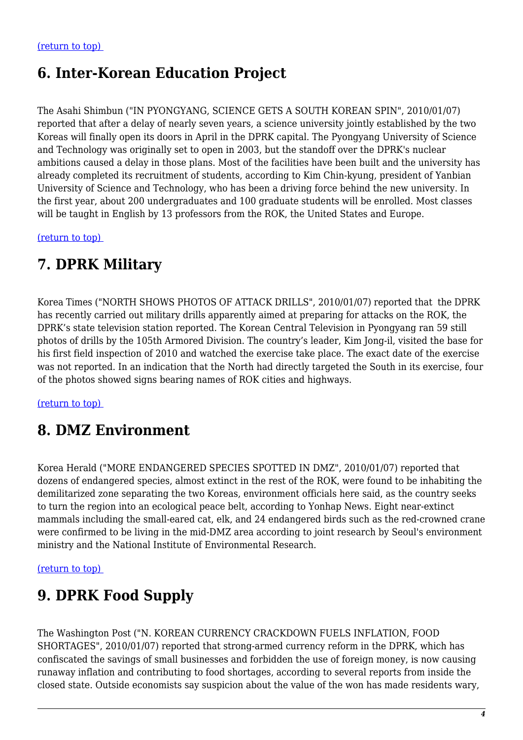### **6. Inter-Korean Education Project**

The Asahi Shimbun ("IN PYONGYANG, SCIENCE GETS A SOUTH KOREAN SPIN", 2010/01/07) reported that after a delay of nearly seven years, a science university jointly established by the two Koreas will finally open its doors in April in the DPRK capital. The Pyongyang University of Science and Technology was originally set to open in 2003, but the standoff over the DPRK's nuclear ambitions caused a delay in those plans. Most of the facilities have been built and the university has already completed its recruitment of students, according to Kim Chin-kyung, president of Yanbian University of Science and Technology, who has been a driving force behind the new university. In the first year, about 200 undergraduates and 100 graduate students will be enrolled. Most classes will be taught in English by 13 professors from the ROK, the United States and Europe.

<span id="page-3-0"></span>[\(return to top\)](#page-0-0) 

## **7. DPRK Military**

Korea Times ("NORTH SHOWS PHOTOS OF ATTACK DRILLS", 2010/01/07) reported that the DPRK has recently carried out military drills apparently aimed at preparing for attacks on the ROK, the DPRK's state television station reported. The Korean Central Television in Pyongyang ran 59 still photos of drills by the 105th Armored Division. The country's leader, Kim Jong-il, visited the base for his first field inspection of 2010 and watched the exercise take place. The exact date of the exercise was not reported. In an indication that the North had directly targeted the South in its exercise, four of the photos showed signs bearing names of ROK cities and highways.

#### <span id="page-3-1"></span>[\(return to top\)](#page-0-0)

## **8. DMZ Environment**

Korea Herald ("MORE ENDANGERED SPECIES SPOTTED IN DMZ", 2010/01/07) reported that dozens of endangered species, almost extinct in the rest of the ROK, were found to be inhabiting the demilitarized zone separating the two Koreas, environment officials here said, as the country seeks to turn the region into an ecological peace belt, according to Yonhap News. Eight near-extinct mammals including the small-eared cat, elk, and 24 endangered birds such as the red-crowned crane were confirmed to be living in the mid-DMZ area according to joint research by Seoul's environment ministry and the National Institute of Environmental Research.

<span id="page-3-2"></span>[\(return to top\)](#page-0-0) 

## **9. DPRK Food Supply**

The Washington Post ("N. KOREAN CURRENCY CRACKDOWN FUELS INFLATION, FOOD SHORTAGES", 2010/01/07) reported that strong-armed currency reform in the DPRK, which has confiscated the savings of small businesses and forbidden the use of foreign money, is now causing runaway inflation and contributing to food shortages, according to several reports from inside the closed state. Outside economists say suspicion about the value of the won has made residents wary,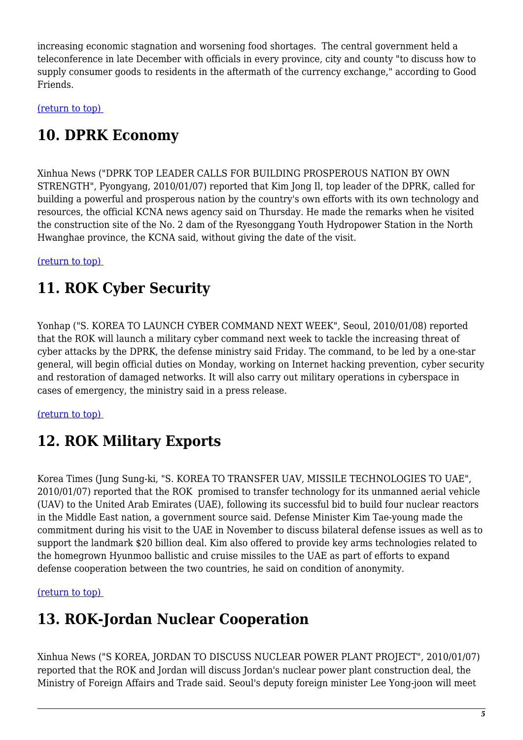increasing economic stagnation and worsening food shortages. The central government held a teleconference in late December with officials in every province, city and county "to discuss how to supply consumer goods to residents in the aftermath of the currency exchange," according to Good Friends.

<span id="page-4-0"></span>[\(return to top\)](#page-0-0) 

## **10. DPRK Economy**

Xinhua News ("DPRK TOP LEADER CALLS FOR BUILDING PROSPEROUS NATION BY OWN STRENGTH", Pyongyang, 2010/01/07) reported that Kim Jong Il, top leader of the DPRK, called for building a powerful and prosperous nation by the country's own efforts with its own technology and resources, the official KCNA news agency said on Thursday. He made the remarks when he visited the construction site of the No. 2 dam of the Ryesonggang Youth Hydropower Station in the North Hwanghae province, the KCNA said, without giving the date of the visit.

### <span id="page-4-1"></span>[\(return to top\)](#page-0-0)

## **11. ROK Cyber Security**

Yonhap ("S. KOREA TO LAUNCH CYBER COMMAND NEXT WEEK", Seoul, 2010/01/08) reported that the ROK will launch a military cyber command next week to tackle the increasing threat of cyber attacks by the DPRK, the defense ministry said Friday. The command, to be led by a one-star general, will begin official duties on Monday, working on Internet hacking prevention, cyber security and restoration of damaged networks. It will also carry out military operations in cyberspace in cases of emergency, the ministry said in a press release.

<span id="page-4-2"></span>[\(return to top\)](#page-0-0) 

## **12. ROK Military Exports**

Korea Times (Jung Sung-ki, "S. KOREA TO TRANSFER UAV, MISSILE TECHNOLOGIES TO UAE", 2010/01/07) reported that the ROK promised to transfer technology for its unmanned aerial vehicle (UAV) to the United Arab Emirates (UAE), following its successful bid to build four nuclear reactors in the Middle East nation, a government source said. Defense Minister Kim Tae-young made the commitment during his visit to the UAE in November to discuss bilateral defense issues as well as to support the landmark \$20 billion deal. Kim also offered to provide key arms technologies related to the homegrown Hyunmoo ballistic and cruise missiles to the UAE as part of efforts to expand defense cooperation between the two countries, he said on condition of anonymity.

<span id="page-4-3"></span>[\(return to top\)](#page-0-0) 

## **13. ROK-Jordan Nuclear Cooperation**

Xinhua News ("S KOREA, JORDAN TO DISCUSS NUCLEAR POWER PLANT PROJECT", 2010/01/07) reported that the ROK and Jordan will discuss Jordan's nuclear power plant construction deal, the Ministry of Foreign Affairs and Trade said. Seoul's deputy foreign minister Lee Yong-joon will meet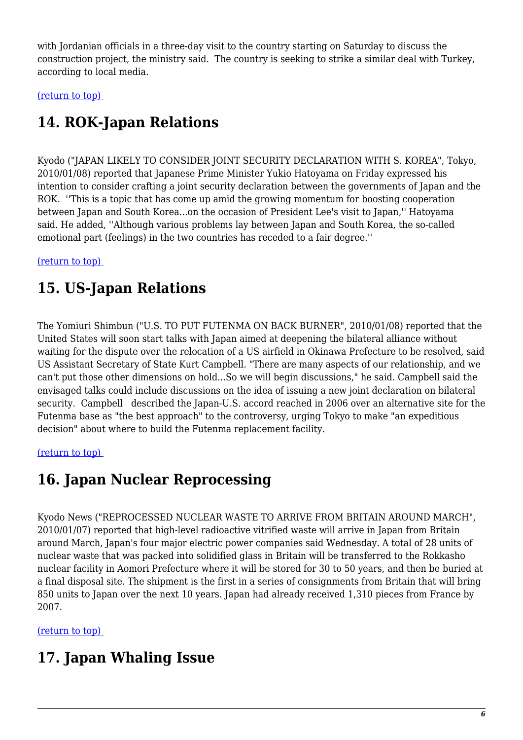with Jordanian officials in a three-day visit to the country starting on Saturday to discuss the construction project, the ministry said. The country is seeking to strike a similar deal with Turkey, according to local media.

<span id="page-5-0"></span>[\(return to top\)](#page-0-0) 

## **14. ROK-Japan Relations**

Kyodo ("JAPAN LIKELY TO CONSIDER JOINT SECURITY DECLARATION WITH S. KOREA", Tokyo, 2010/01/08) reported that Japanese Prime Minister Yukio Hatoyama on Friday expressed his intention to consider crafting a joint security declaration between the governments of Japan and the ROK. ''This is a topic that has come up amid the growing momentum for boosting cooperation between Japan and South Korea...on the occasion of President Lee's visit to Japan,'' Hatoyama said. He added, ''Although various problems lay between Japan and South Korea, the so-called emotional part (feelings) in the two countries has receded to a fair degree.''

<span id="page-5-1"></span>[\(return to top\)](#page-0-0) 

## **15. US-Japan Relations**

The Yomiuri Shimbun ("U.S. TO PUT FUTENMA ON BACK BURNER", 2010/01/08) reported that the United States will soon start talks with Japan aimed at deepening the bilateral alliance without waiting for the dispute over the relocation of a US airfield in Okinawa Prefecture to be resolved, said US Assistant Secretary of State Kurt Campbell. "There are many aspects of our relationship, and we can't put those other dimensions on hold...So we will begin discussions," he said. Campbell said the envisaged talks could include discussions on the idea of issuing a new joint declaration on bilateral security. Campbell described the Japan-U.S. accord reached in 2006 over an alternative site for the Futenma base as "the best approach" to the controversy, urging Tokyo to make "an expeditious decision" about where to build the Futenma replacement facility.

### <span id="page-5-2"></span>[\(return to top\)](#page-0-0)

## **16. Japan Nuclear Reprocessing**

Kyodo News ("REPROCESSED NUCLEAR WASTE TO ARRIVE FROM BRITAIN AROUND MARCH", 2010/01/07) reported that high-level radioactive vitrified waste will arrive in Japan from Britain around March, Japan's four major electric power companies said Wednesday. A total of 28 units of nuclear waste that was packed into solidified glass in Britain will be transferred to the Rokkasho nuclear facility in Aomori Prefecture where it will be stored for 30 to 50 years, and then be buried at a final disposal site. The shipment is the first in a series of consignments from Britain that will bring 850 units to Japan over the next 10 years. Japan had already received 1,310 pieces from France by 2007.

<span id="page-5-3"></span>[\(return to top\)](#page-0-0) 

## **17. Japan Whaling Issue**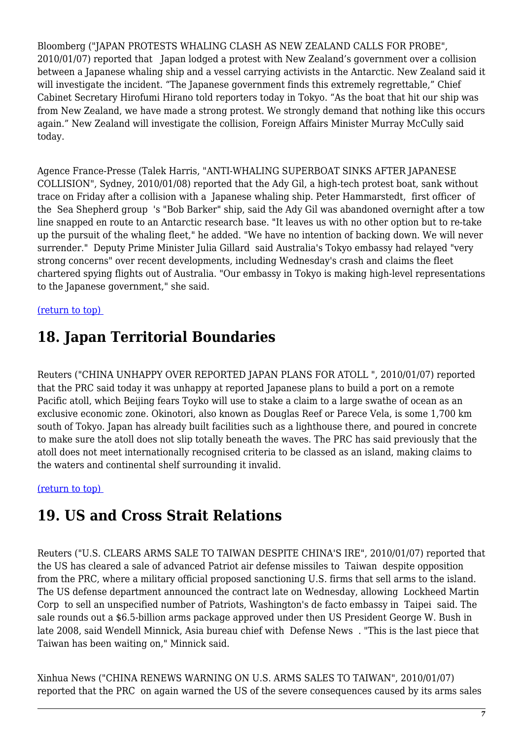Bloomberg ("JAPAN PROTESTS WHALING CLASH AS NEW ZEALAND CALLS FOR PROBE", 2010/01/07) reported that Japan lodged a protest with New Zealand's government over a collision between a Japanese whaling ship and a vessel carrying activists in the Antarctic. New Zealand said it will investigate the incident. "The Japanese government finds this extremely regrettable," Chief Cabinet Secretary Hirofumi Hirano told reporters today in Tokyo. "As the boat that hit our ship was from New Zealand, we have made a strong protest. We strongly demand that nothing like this occurs again." New Zealand will investigate the collision, Foreign Affairs Minister Murray McCully said today.

Agence France-Presse (Talek Harris, "ANTI-WHALING SUPERBOAT SINKS AFTER JAPANESE COLLISION", Sydney, 2010/01/08) reported that the Ady Gil, a high-tech protest boat, sank without trace on Friday after a collision with a Japanese whaling ship. Peter Hammarstedt, first officer of the Sea Shepherd group 's "Bob Barker" ship, said the Ady Gil was abandoned overnight after a tow line snapped en route to an Antarctic research base. "It leaves us with no other option but to re-take up the pursuit of the whaling fleet," he added. "We have no intention of backing down. We will never surrender." Deputy Prime Minister Julia Gillard said Australia's Tokyo embassy had relayed "very strong concerns" over recent developments, including Wednesday's crash and claims the fleet chartered spying flights out of Australia. "Our embassy in Tokyo is making high-level representations to the Japanese government," she said.

### <span id="page-6-0"></span>[\(return to top\)](#page-0-0)

## **18. Japan Territorial Boundaries**

Reuters ("CHINA UNHAPPY OVER REPORTED JAPAN PLANS FOR ATOLL ", 2010/01/07) reported that the PRC said today it was unhappy at reported Japanese plans to build a port on a remote Pacific atoll, which Beijing fears Toyko will use to stake a claim to a large swathe of ocean as an exclusive economic zone. Okinotori, also known as Douglas Reef or Parece Vela, is some 1,700 km south of Tokyo. Japan has already built facilities such as a lighthouse there, and poured in concrete to make sure the atoll does not slip totally beneath the waves. The PRC has said previously that the atoll does not meet internationally recognised criteria to be classed as an island, making claims to the waters and continental shelf surrounding it invalid.

#### <span id="page-6-1"></span>[\(return to top\)](#page-0-0)

## **19. US and Cross Strait Relations**

Reuters ("U.S. CLEARS ARMS SALE TO TAIWAN DESPITE CHINA'S IRE", 2010/01/07) reported that the US has cleared a sale of advanced Patriot air defense missiles to Taiwan despite opposition from the PRC, where a military official proposed sanctioning U.S. firms that sell arms to the island. The US defense department announced the contract late on Wednesday, allowing Lockheed Martin Corp to sell an unspecified number of Patriots, Washington's de facto embassy in Taipei said. The sale rounds out a \$6.5-billion arms package approved under then US President George W. Bush in late 2008, said Wendell Minnick, Asia bureau chief with Defense News . "This is the last piece that Taiwan has been waiting on," Minnick said.

Xinhua News ("CHINA RENEWS WARNING ON U.S. ARMS SALES TO TAIWAN", 2010/01/07) reported that the PRC on again warned the US of the severe consequences caused by its arms sales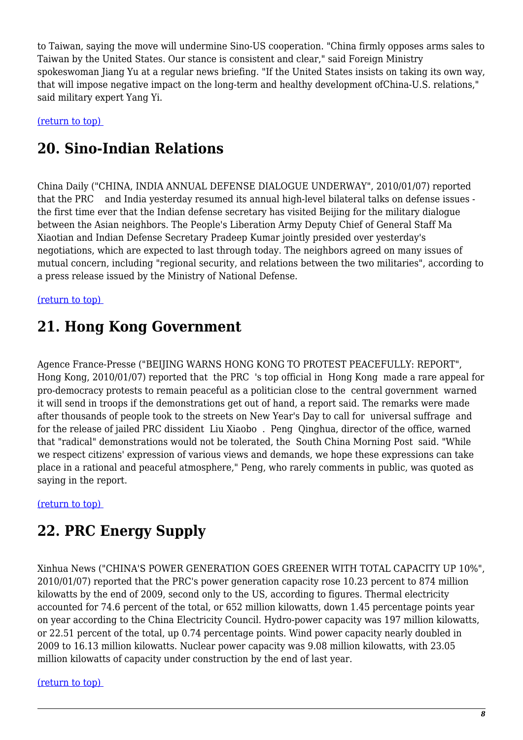to Taiwan, saying the move will undermine Sino-US cooperation. "China firmly opposes arms sales to Taiwan by the United States. Our stance is consistent and clear," said Foreign Ministry spokeswoman Jiang Yu at a regular news briefing. "If the United States insists on taking its own way, that will impose negative impact on the long-term and healthy development ofChina-U.S. relations," said military expert Yang Yi.

<span id="page-7-0"></span>[\(return to top\)](#page-0-0) 

## **20. Sino-Indian Relations**

China Daily ("CHINA, INDIA ANNUAL DEFENSE DIALOGUE UNDERWAY", 2010/01/07) reported that the PRC and India yesterday resumed its annual high-level bilateral talks on defense issues the first time ever that the Indian defense secretary has visited Beijing for the military dialogue between the Asian neighbors. The People's Liberation Army Deputy Chief of General Staff Ma Xiaotian and Indian Defense Secretary Pradeep Kumar jointly presided over yesterday's negotiations, which are expected to last through today. The neighbors agreed on many issues of mutual concern, including "regional security, and relations between the two militaries", according to a press release issued by the Ministry of National Defense.

#### <span id="page-7-1"></span>[\(return to top\)](#page-0-0)

## **21. Hong Kong Government**

Agence France-Presse ("BEIJING WARNS HONG KONG TO PROTEST PEACEFULLY: REPORT", Hong Kong, 2010/01/07) reported that the PRC 's top official in Hong Kong made a rare appeal for pro-democracy protests to remain peaceful as a politician close to the central government warned it will send in troops if the demonstrations get out of hand, a report said. The remarks were made after thousands of people took to the streets on New Year's Day to call for universal suffrage and for the release of jailed PRC dissident Liu Xiaobo . Peng Qinghua, director of the office, warned that "radical" demonstrations would not be tolerated, the South China Morning Post said. "While we respect citizens' expression of various views and demands, we hope these expressions can take place in a rational and peaceful atmosphere," Peng, who rarely comments in public, was quoted as saying in the report.

<span id="page-7-2"></span>[\(return to top\)](#page-0-0) 

## **22. PRC Energy Supply**

Xinhua News ("CHINA'S POWER GENERATION GOES GREENER WITH TOTAL CAPACITY UP 10%", 2010/01/07) reported that the PRC's power generation capacity rose 10.23 percent to 874 million kilowatts by the end of 2009, second only to the US, according to figures. Thermal electricity accounted for 74.6 percent of the total, or 652 million kilowatts, down 1.45 percentage points year on year according to the China Electricity Council. Hydro-power capacity was 197 million kilowatts, or 22.51 percent of the total, up 0.74 percentage points. Wind power capacity nearly doubled in 2009 to 16.13 million kilowatts. Nuclear power capacity was 9.08 million kilowatts, with 23.05 million kilowatts of capacity under construction by the end of last year.

#### <span id="page-7-3"></span>[\(return to top\)](#page-0-0)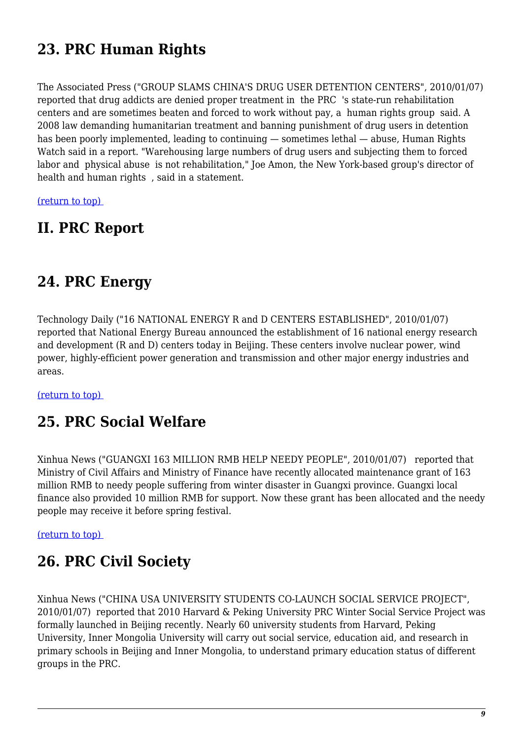## **23. PRC Human Rights**

The Associated Press ("GROUP SLAMS CHINA'S DRUG USER DETENTION CENTERS", 2010/01/07) reported that drug addicts are denied proper treatment in the PRC 's state-run rehabilitation centers and are sometimes beaten and forced to work without pay, a human rights group said. A 2008 law demanding humanitarian treatment and banning punishment of drug users in detention has been poorly implemented, leading to continuing — sometimes lethal — abuse, Human Rights Watch said in a report. "Warehousing large numbers of drug users and subjecting them to forced labor and physical abuse is not rehabilitation," Joe Amon, the New York-based group's director of health and human rights , said in a statement.

[\(return to top\)](#page-0-0) 

### **II. PRC Report**

### <span id="page-8-0"></span>**24. PRC Energy**

Technology Daily ("16 NATIONAL ENERGY R and D CENTERS ESTABLISHED", 2010/01/07) reported that National Energy Bureau announced the establishment of 16 national energy research and development (R and D) centers today in Beijing. These centers involve nuclear power, wind power, highly-efficient power generation and transmission and other major energy industries and areas.

<span id="page-8-1"></span>[\(return to top\)](#page-0-0) 

## **25. PRC Social Welfare**

Xinhua News ("GUANGXI 163 MILLION RMB HELP NEEDY PEOPLE", 2010/01/07) reported that Ministry of Civil Affairs and Ministry of Finance have recently allocated maintenance grant of 163 million RMB to needy people suffering from winter disaster in Guangxi province. Guangxi local finance also provided 10 million RMB for support. Now these grant has been allocated and the needy people may receive it before spring festival.

<span id="page-8-2"></span>[\(return to top\)](#page-0-0) 

## **26. PRC Civil Society**

Xinhua News ("CHINA USA UNIVERSITY STUDENTS CO-LAUNCH SOCIAL SERVICE PROJECT", 2010/01/07) reported that 2010 Harvard & Peking University PRC Winter Social Service Project was formally launched in Beijing recently. Nearly 60 university students from Harvard, Peking University, Inner Mongolia University will carry out social service, education aid, and research in primary schools in Beijing and Inner Mongolia, to understand primary education status of different groups in the PRC.